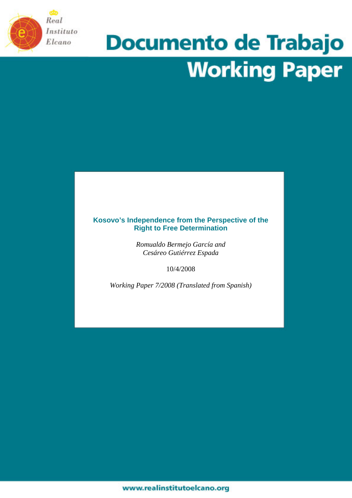

# **Documento de Trabajo Working Paper**

# **Kosovo's Independence from the Perspective of the Right to Free Determination**

*Romualdo Bermejo García and Cesáreo Gutiérrez Espada* 

10/4/2008

*Working Paper 7/2008 (Translated from Spanish)*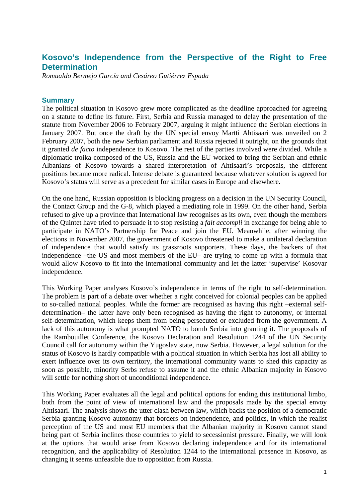# **Kosovo's Independence from the Perspective of the Right to Free Determination**

*Romualdo Bermejo García and Cesáreo Gutiérrez Espada* 

### **Summary**

The political situation in Kosovo grew more complicated as the deadline approached for agreeing on a statute to define its future. First, Serbia and Russia managed to delay the presentation of the statute from November 2006 to February 2007, arguing it might influence the Serbian elections in January 2007. But once the draft by the UN special envoy Martti Ahtisaari was unveiled on 2 February 2007, both the new Serbian parliament and Russia rejected it outright, on the grounds that it granted *de facto* independence to Kosovo. The rest of the parties involved were divided. While a diplomatic troika composed of the US, Russia and the EU worked to bring the Serbian and ethnic Albanians of Kosovo towards a shared interpretation of Ahtisaari's proposals, the different positions became more radical. Intense debate is guaranteed because whatever solution is agreed for Kosovo's status will serve as a precedent for similar cases in Europe and elsewhere.

On the one hand, Russian opposition is blocking progress on a decision in the UN Security Council, the Contact Group and the G-8, which played a mediating role in 1999. On the other hand, Serbia refused to give up a province that International law recognises as its own, even though the members of the Quintet have tried to persuade it to stop resisting a *fait accompli* in exchange for being able to participate in NATO's Partnership for Peace and join the EU. Meanwhile, after winning the elections in November 2007, the government of Kosovo threatened to make a unilateral declaration of independence that would satisfy its grassroots supporters. These days, the backers of that independence –the US and most members of the EU– are trying to come up with a formula that would allow Kosovo to fit into the international community and let the latter 'supervise' Kosovar independence.

This Working Paper analyses Kosovo's independence in terms of the right to self-determination. The problem is part of a debate over whether a right conceived for colonial peoples can be applied to so-called national peoples. While the former are recognised as having this right –external selfdetermination– the latter have only been recognised as having the right to autonomy, or internal self-determination, which keeps them from being persecuted or excluded from the government. A lack of this autonomy is what prompted NATO to bomb Serbia into granting it. The proposals of the Rambouillet Conference, the Kosovo Declaration and Resolution 1244 of the UN Security Council call for autonomy within the Yugoslav state, now Serbia. However, a legal solution for the status of Kosovo is hardly compatible with a political situation in which Serbia has lost all ability to exert influence over its own territory, the international community wants to shed this capacity as soon as possible, minority Serbs refuse to assume it and the ethnic Albanian majority in Kosovo will settle for nothing short of unconditional independence.

This Working Paper evaluates all the legal and political options for ending this institutional limbo, both from the point of view of international law and the proposals made by the special envoy Ahtisaari. The analysis shows the utter clash between law, which backs the position of a democratic Serbia granting Kosovo autonomy that borders on independence, and politics, in which the realist perception of the US and most EU members that the Albanian majority in Kosovo cannot stand being part of Serbia inclines those countries to yield to secessionist pressure. Finally, we will look at the options that would arise from Kosovo declaring independence and for its international recognition, and the applicability of Resolution 1244 to the international presence in Kosovo, as changing it seems unfeasible due to opposition from Russia.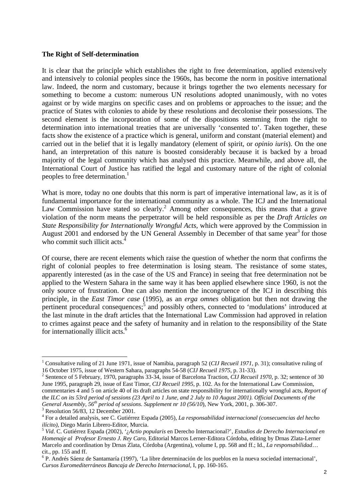### **The Right of Self-determination**

It is clear that the principle which establishes the right to free determination, applied extensively and intensively to colonial peoples since the 1960s, has become the norm in positive international law. Indeed, the norm and customary, because it brings together the two elements necessary for something to become a custom: numerous UN resolutions adopted unanimously, with no votes against or by wide margins on specific cases and on problems or approaches to the issue; and the practice of States with colonies to abide by these resolutions and decolonise their possessions. The second element is the incorporation of some of the dispositions stemming from the right to determination into international treaties that are universally 'consented to'. Taken together, these facts show the existence of a practice which is general, uniform and constant (material element) and carried out in the belief that it is legally mandatory (element of spirit, or *opinio iuris*). On the one hand, an interpretation of this nature is boosted considerably because it is backed by a broad majority of the legal community which has analysed this practice. Meanwhile, and above all, the International Court of Justice has ratified the legal and customary nature of the right of colonial peoples to free determination.<sup>1</sup>

What is more, today no one doubts that this norm is part of imperative international law, as it is of fundamental importance for the international community as a whole. The ICJ and the International Law Commission have stated so clearly.<sup>2</sup> Among other consequences, this means that a grave violation of the norm means the perpetrator will be held responsible as per the *Draft Articles on State Responsibility for Internationally Wrongful Acts,* which were approved by the Commission in August 2001 and endorsed by the UN General Assembly in December of that same year<sup>3</sup> for those who commit such illicit acts.<sup>4</sup>

Of course, there are recent elements which raise the question of whether the norm that confirms the right of colonial peoples to free determination is losing steam. The resistance of some states, apparently interested (as in the case of the US and France) in seeing that free determination not be applied to the Western Sahara in the same way it has been applied elsewhere since 1960, is not the only source of frustration. One can also mention the incongruence of the ICJ in describing this principle, in the *East Timor case* (1995), as an *erga omnes* obligation but then not drawing the pertinent procedural consequences;<sup>5</sup> and possibly others, connected to 'modulations' introduced at the last minute in the draft articles that the International Law Commission had approved in relation to crimes against peace and the safety of humanity and in relation to the responsibility of the State for internationally illicit acts.<sup>6</sup>

<sup>&</sup>lt;sup>1</sup> Consultative ruling of 21 June 1971, issue of Namibia, paragraph 52 (CIJ Recueil 1971, p. 31); consultative ruling of 16 October 1975, issue of Western Sahara, paragraphs 54-58 (*CIJ Recueil 1975*, p. 31-33). 2

<sup>&</sup>lt;sup>2</sup> Sentence of 5 February, 1970, paragraphs 33-34, issue of Barcelona Traction, *CIJ Recueil 1970*, p. 32; sentence of 30 June 1995, paragraph 29, issue of East Timor, *CIJ Recueil 1995*, p. 102. As for the International Law Commission, commentaries 4 and 5 on article 40 of its draft articles on state responsibility for internationally wrongful acts, *Report of the ILC on its 53rd period of sessions (23 April to 1 June, and 2 July to 10 August 2001). Official Documents of the General Assembly,*  $56<sup>th</sup>$  *period of sessions. Supplement nr 10 (56/10), New York, 2001, p. 306-307.* 

 $3$  Resolution 56/83, 12 December 2001.

For a detailed analysis, see C. Gutiérrez Espada (2005), *La responsabilidad internacional (consecuencias del hecho ilícito)*, Diego Marín Librero-Editor, Murcia. 5 *Vid*. C. Gutiérrez Espada (2002), '¿*Actio popularis* en Derecho Internacional?', *Estudios de Derecho Internacional en* 

*Homenaje al Profesor Ernesto J. Rey Caro*, Editorial Marcos Lerner-Editora Córdoba, editing by Drnas Zlata-Lerner Marcelo and coordination by Drnas Zlata, Córdoba (Argentina), volume I, pp. 568 and ff.; Id., *La responsabilidad*… cit., pp. 155 and ff.

<sup>6</sup> P. Andrés Sáenz de Santamaría (1997), 'La libre determinación de los pueblos en la nueva sociedad internacional', *Cursos Euromediterráneos Bancaja de Derecho Internacional,* I, pp. 160-165.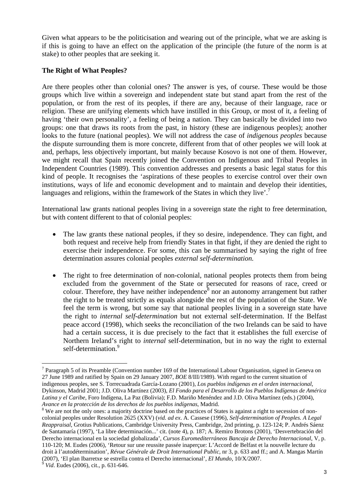Given what appears to be the politicisation and wearing out of the principle, what we are asking is if this is going to have an effect on the application of the principle (the future of the norm is at stake) to other peoples that are seeking it.

# **The Right of What Peoples?**

Are there peoples other than colonial ones? The answer is yes, of course. These would be those groups which live within a sovereign and independent state but stand apart from the rest of the population, or from the rest of its peoples, if there are any, because of their language, race or religion. These are unifying elements which have instilled in this Group, or most of it, a feeling of having 'their own personality', a feeling of being a nation. They can basically be divided into two groups: one that draws its roots from the past, in history (these are indigenous peoples); another looks to the future (national peoples). We will not address the case of *indigenous peoples* because the dispute surrounding them is more concrete, different from that of other peoples we will look at and, perhaps, less objectively important, but mainly because Kosovo is not one of them. However, we might recall that Spain recently joined the Convention on Indigenous and Tribal Peoples in Independent Countries (1989). This convention addresses and presents a basic legal status for this kind of people. It recognises the 'aspirations of these peoples to exercise control over their own institutions, ways of life and economic development and to maintain and develop their identities, languages and religions, within the framework of the States in which they live'.<sup>7</sup>

International law grants national peoples living in a sovereign state the right to free determination, but with content different to that of colonial peoples:

- The law grants these national peoples, if they so desire, independence. They can fight, and both request and receive help from friendly States in that fight, if they are denied the right to exercise their independence. For some, this can be summarised by saying the right of free determination assures colonial peoples *external self-determination.*
- The right to free determination of non-colonial, national peoples protects them from being excluded from the government of the State or persecuted for reasons of race, creed or colour. Therefore, they have neither independence<sup>8</sup> nor an autonomy arrangement but rather the right to be treated strictly as equals alongside the rest of the population of the State. We feel the term is wrong, but some say that national peoples living in a sovereign state have the right to *internal self-determination* but not external self-determination. If the Belfast peace accord (1998), which seeks the reconciliation of the two Irelands can be said to have had a certain success, it is due precisely to the fact that it establishes the full exercise of Northern Ireland's right to *internal* self-determination, but in no way the right to external self-determination.<sup>9</sup>

<sup>&</sup>lt;sup>7</sup> Paragraph 5 of its Preamble (Convention number 169 of the International Labour Organisation, signed in Geneva on 27 June 1989 and ratified by Spain on 29 January 2007, *BOE* 8/III/1989). With regard to the current situation of indigenous peoples, see S. Torrecuadrada García-Lozano (2001), *Los pueblos indígenas en el orden internacional*, Dykinson, Madrid 2001; J.D. Oliva Martínez (2003), *El Fondo para el Desarrollo de los Pueblos Indígenas de América Latina y el Caribe*, Foro Indígena, La Paz (Bolivia); F.D. Mariño Menéndez and J.D. Oliva Martínez (eds.) (2004), *Avance en la protección de los derechos de los pueblos indígenas*, Madrid. 8

<sup>&</sup>lt;sup>8</sup> We are not the only ones: a majority doctrine based on the practices of States is against a right to secession of noncolonial peoples under Resolution 2625 (XXV) (*vid. ad ex*. A. Cassese (1996), *Self-determination of Peoples. A Legal Reappraisal*, Grotius Publications, Cambridge University Press, Cambridge, 2nd printing, p. 123-124; P. Andrés Sáenz de Santamaría (1997), 'La libre determinación...' cit. (note 4), p. 187; A. Remiro Brotons (2001), 'Desvertebración del Derecho internacional en la sociedad globalizada', *Cursos Euromediterráneos Bancaja de Derecho Internacional*, V, p. 110-120; M. Eudes (2006), 'Retour sur une reussite passée inaperçue: L'Accord de Belfast et la nouvelle lecture du droit à l'autodétermination', *Révue Générale de Droit International Public*, nr 3, p. 633 and ff.; and A. Mangas Martín (2007), 'El plan Ibarretxe se estrella contra el Derecho internacional', *El Mundo*, 10/X/2007. 9 *Vid*. Eudes (2006), cit., p. 631-646.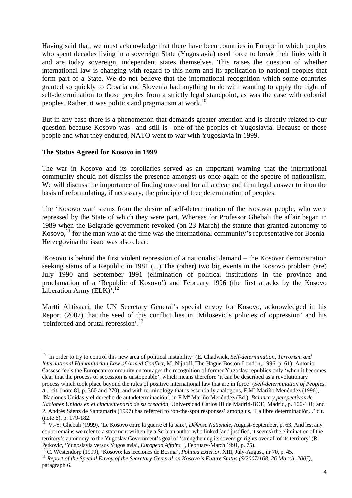Having said that, we must acknowledge that there have been countries in Europe in which peoples who spent decades living in a sovereign State (Yugoslavia) used force to break their links with it and are today sovereign, independent states themselves. This raises the question of whether international law is changing with regard to this norm and its application to national peoples that form part of a State. We do not believe that the international recognition which some countries granted so quickly to Croatia and Slovenia had anything to do with wanting to apply the right of self-determination to those peoples from a strictly legal standpoint, as was the case with colonial peoples. Rather, it was politics and pragmatism at work.<sup>10</sup>

But in any case there is a phenomenon that demands greater attention and is directly related to our question because Kosovo was –and still is– one of the peoples of Yugoslavia. Because of those people and what they endured, NATO went to war with Yugoslavia in 1999.

## **The Status Agreed for Kosovo in 1999**

 $\overline{a}$ 

The war in Kosovo and its corollaries served as an important warning that the international community should not dismiss the presence amongst us once again of the spectre of nationalism. We will discuss the importance of finding once and for all a clear and firm legal answer to it on the basis of reformulating, if necessary, the principle of free determination of peoples.

The 'Kosovo war' stems from the desire of self-determination of the Kosovar people, who were repressed by the State of which they were part. Whereas for Professor Ghebali the affair began in 1989 when the Belgrade government revoked (on 23 March) the statute that granted autonomy to Kosovo, $^{11}$  for the man who at the time was the international community's representative for Bosnia-Herzegovina the issue was also clear:

'Kosovo is behind the first violent repression of a nationalist demand – the Kosovar demonstration seeking status of a Republic in 1981 (...) The (other) two big events in the Kosovo problem (are) July 1990 and September 1991 (elimination of political institutions in the province and proclamation of a 'Republic of Kosovo') and February 1996 (the first attacks by the Kosovo Liberation Army  $(ELK)^{1.12}$ 

Martti Ahtisaari, the UN Secretary General's special envoy for Kosovo, acknowledged in his Report (2007) that the seed of this conflict lies in 'Milosevic's policies of oppression' and his 'reinforced and brutal repression'.13

<sup>10 &#</sup>x27;In order to try to control this new area of political instability' (E. Chadwick, *Self-determination, Terrorism and International Humanitarian Law of Armed Conflict*, M. Nijhoff, The Hague-Boston-London, 1996, p. 61); Antonio Cassese feels the European community encourages the recognition of former Yugoslav republics only 'when it becomes clear that the process of secession is unstoppable', which means therefore 'it can be described as a revolutionary process which took place beyond the rules of positive international law that are in force' (*Self-determination of Peoples. A...* cit. [note 8], p. 360 and 270); and with terminology that is essentially analogous, F.Mª Mariño Menéndez (1996), 'Naciones Unidas y el derecho de autodeterminación', in F.Mª Mariño Menéndez (Ed.), *Balance y perspectivas de Naciones Unidas en el cincuentenario de su creación*, Universidad Carlos III de Madrid-BOE, Madrid, p. 100-101; and

P. Andrés Sáenz de Santamaría (1997) has referred to 'on-the-spot responses' among us, 'La libre determinación...' cit. (note 6), p. 179-182.

<sup>&</sup>lt;sup>11</sup> V.-Y. Ghebali (1999), 'Le Kosovo entre la guerre et la paix', *Défense Nationale*, August-September, p. 63. And lest any doubt remains we refer to a statement written by a Serbian author who linked (and justified, it seems) the elimination of the territory's autonomy to the Yugoslav Government's goal of 'strengthening its sovereign rights over all of its territory' (R.

Petkovic, 'Yugoslavia versus Yugoslavia', *European Affairs*, I, February-March 1991, p. 75).<br><sup>12</sup> C. Westendorp (1999), 'Kosovo: las lecciones de Bosnia', *Política Exterior*, XIII, July-August, nr 70, p. 45.<br><sup>13</sup> Report paragraph 6.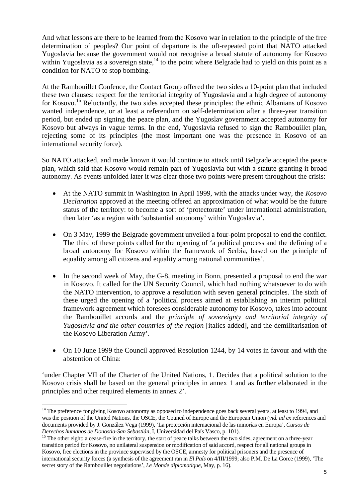And what lessons are there to be learned from the Kosovo war in relation to the principle of the free determination of peoples? Our point of departure is the oft-repeated point that NATO attacked Yugoslavia because the government would not recognise a broad statute of autonomy for Kosovo within Yugoslavia as a sovereign state,  $^{14}$  to the point where Belgrade had to yield on this point as a condition for NATO to stop bombing.

At the Rambouillet Confence, the Contact Group offered the two sides a 10-point plan that included these two clauses: respect for the territorial integrity of Yugoslavia and a high degree of autonomy for Kosovo.<sup>15</sup> Reluctantly, the two sides accepted these principles: the ethnic Albanians of Kosovo wanted independence, or at least a referendum on self-determination after a three-year transition period, but ended up signing the peace plan, and the Yugoslav government accepted autonomy for Kosovo but always in vague terms. In the end, Yugoslavia refused to sign the Rambouillet plan, rejecting some of its principles (the most important one was the presence in Kosovo of an international security force).

So NATO attacked, and made known it would continue to attack until Belgrade accepted the peace plan, which said that Kosovo would remain part of Yugoslavia but with a statute granting it broad autonomy. As events unfolded later it was clear those two points were present throughout the crisis:

- At the NATO summit in Washington in April 1999, with the attacks under way, the *Kosovo Declaration* approved at the meeting offered an approximation of what would be the future status of the territory: to become a sort of 'protectorate' under international administration, then later 'as a region with 'substantial autonomy' within Yugoslavia'.
- On 3 May, 1999 the Belgrade government unveiled a four-point proposal to end the conflict. The third of these points called for the opening of 'a political process and the defining of a broad autonomy for Kosovo within the framework of Serbia, based on the principle of equality among all citizens and equality among national communities'.
- In the second week of May, the G-8, meeting in Bonn, presented a proposal to end the war in Kosovo. It called for the UN Security Council, which had nothing whatsoever to do with the NATO intervention, to approve a resolution with seven general principles. The sixth of these urged the opening of a 'political process aimed at establishing an interim political framework agreement which foresees considerable autonomy for Kosovo, takes into account the Rambouillet accords and the *principle of sovereignty and territorial integrity of Yugoslavia and the other countries of the region* [italics added], and the demilitarisation of the Kosovo Liberation Army'.
- On 10 June 1999 the Council approved Resolution 1244, by 14 votes in favour and with the abstention of China:

'under Chapter VII of the Charter of the United Nations, 1. Decides that a political solution to the Kosovo crisis shall be based on the general principles in annex 1 and as further elaborated in the principles and other required elements in annex 2'.

<sup>&</sup>lt;sup>14</sup> The preference for giving Kosovo autonomy as opposed to independence goes back several years, at least to 1994, and was the position of the United Nations, the OSCE, the Council of Europe and the European Union (*vid. ad ex* references and documents provided by J. González Vega (1999), 'La protección internacional de las minorías en Europa', *Cursos de Derechos humanos de Donostia-San Sebastián*, I, Universidad del País Vasco, p. 101).<br><sup>15</sup> The other eight: a cease-fire in the territory, the start of peace talks between the two sides, agreement on a three-year

transition period for Kosovo, no unilateral suspension or modification of said accord, respect for all national groups in Kosovo, free elections in the province supervised by the OSCE, amnesty for political prisoners and the presence of international security forces (a synthesis of the agreement ran in *El País* on 4/III/1999; also P.M. De La Gorce (1999), 'The secret story of the Rambouillet negotiations', *Le Monde diplomatique*, May, p. 16).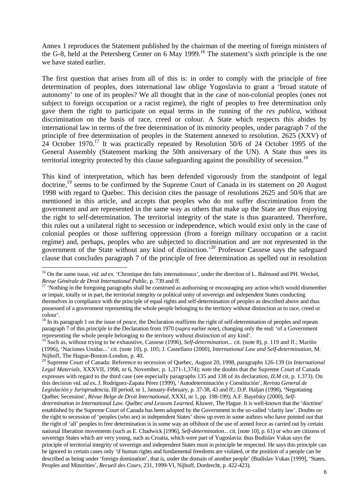Annex 1 reproduces the Statement published by the chairman of the meeting of foreign ministers of the G-8, held at the Petersberg Center on 6 May 1999.<sup>16</sup> The statement's sixth principle is the one we have stated earlier.

The first question that arises from all of this is: in order to comply with the principle of free determination of peoples, does international law oblige Yugoslavia to grant a 'broad statute of autonomy' to one of its peoples? We all thought that in the case of non-colonial peoples (ones not subject to foreign occupation or a racist regime), the right of peoples to free determination only gave them the right to participate on equal terms in the running of the *res publica*, without discrimination on the basis of race, creed or colour. A State which respects this abides by international law in terms of the free determination of its minority peoples, under paragraph 7 of the principle of free determination of peoples in the Statement annexed to resolution. 2625 (XXV) of 24 October 1970.<sup>17</sup> It was practically repeated by Resolution 50/6 of 24 October 1995 of the General Assembly (Statement marking the 50th anniversary of the UN). A State thus sees its territorial integrity protected by this clause safeguarding against the possibility of secession.<sup>18</sup>

This kind of interpretation, which has been defended vigorously from the standpoint of legal doctrine,<sup>19</sup> seems to be confirmed by the Supreme Court of Canada in its statement on 20 August 1998 with regard to Quebec. This decision cites the passage of resolutions 2625 and 50/6 that are mentioned in this article, and accepts that peoples who do not suffer discrimination from the government and are represented in the same way as others that make up the State are thus enjoying the right to self-determination. The territorial integrity of the state is thus guaranteed. Therefore, this rules out a unilateral right to secession or independence, which would exist only in the case of colonial peoples or those suffering oppression (from a foreign military occupation or a racist regime) and, perhaps, peoples who are subjected to discrimination and are not represented in the government of the State without any kind of distinction.<sup>'20</sup> Professor Cassese says the safeguard clause that concludes paragraph 7 of the principle of free determination as spelled out in resolution

<sup>&</sup>lt;sup>16</sup> On the same issue, *vid. ad ex.* 'Chronique des faits internationaux', under the direction of L. Balmond and PH. Weckel, *Revue Générale de Droit International Public*, p. 739 and ff.<br><sup>17</sup> 'Nothing in the foregoing paragraphs shall be construed as authorising or encouraging any action which would dismember

or impair, totally or in part, the territorial integrity or political unity of sovereign and independent States conducting themselves in compliance with the principle of equal rights and self-determination of peoples as described above and thus possessed of a government representing the whole people belonging to the territory without distinction as to race, creed or colour'.

<sup>&</sup>lt;sup>18</sup> In its paragraph 1 on the issue of *peace*, the Declaration reaffirms the right of self-determination of peoples and repeats paragraph 7 of this principle in the Declaration from 1970 (*supra* earlier note), changing only the end: 'of a Government representing the whole people belonging to the territory without distinction of any kind'.

<sup>&</sup>lt;sup>19</sup> Such as, without trying to be exhaustive, Cassese (1996), *Self-determination*... cit. (note 8), p. 119 and ff.; Mariño (1996), 'Naciones Unidas...' cit. (note 10), p. 105; J. Castellano (2000), *International Law and Self-determination*, M. Nijhoff, The Hague-Boston-London, p. 40.

<sup>20</sup> Supreme Court of Canada: Reference to secession of Quebec, August 20, 1998, paragraphs 126-139 (in *International Legal Materials*, XXXVII, 1998, nr 6, November, p. 1,371-1,374); note the doubts that the Supreme Court of Canada expresses with regard to the third case (see especially paragraphs 135 and 138 of its declaration, *ILM* cit, p. 1.373). On this decision *vid. ad ex***.** J. Rodríguez-Zapata Pérez (1999), 'Autodeterminación y Constitución', *Revista General de Legislación y Jurisprudencia*, III period, nr 1, January-February, p. 37-38, 43 and ff.; D.P. Haljan (1998), 'Negotiating Québec Secession', *Révue Belge de Droit International*, XXXI, nr 1, pp. 198-199); A.F. Bayefsky (2000), *Selfdetermination in International Law. Québec and Lessons Learned*, Kluwer, The Hague. It is well-known that the 'doctrine' established by the Supreme Court of Canada has been adopted by the Government in the so-called 'clarity law'. Doubts on the right to secession of 'peoples (who are) in independent States' show up even in some authors who have pointed out that the right of 'all' peoples to free determination is in some way an offshoot of the use of armed force as carried out by certain national liberation movements (such as E. Chadwick [1996], *Self-determination.*.. cit. [note 10], p. 61) or who are citizens of sovereign States which are very young, such as Croatia, which were part of Yugoslavia: thus Budislav Vukas says the principle of territorial integrity of sovereign and independent States must in principle be respected. He says this principle can be ignored in certain cases only 'if human rights and fundamental freedoms are violated, or the position of a people can be described as being under 'foreign domination', that is, under the domain of another people' (Budislav Vukas [1999], 'States, Peoples and Minorities', *Recueil des Cours,* 231, 1999-VI, Nijhoff, Dordrecht, p. 422-423).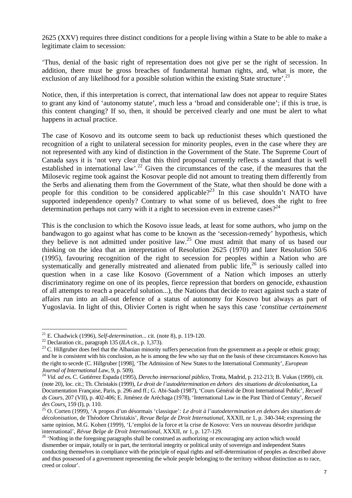2625 (XXV) requires three distinct conditions for a people living within a State to be able to make a legitimate claim to secession:

'Thus, denial of the basic right of representation does not give per se the right of secession. In addition, there must be gross breaches of fundamental human rights, and, what is more, the exclusion of any likelihood for a possible solution within the existing State structure'.<sup>21</sup>

Notice, then, if this interpretation is correct, that international law does not appear to require States to grant any kind of 'autonomy statute', much less a 'broad and considerable one'; if this is true, is this content changing? If so, then, it should be perceived clearly and one must be alert to what happens in actual practice.

The case of Kosovo and its outcome seem to back up reductionist theses which questioned the recognition of a right to unilateral secession for minority peoples, even in the case where they are not represented with any kind of distinction in the Government of the State. The Supreme Court of Canada says it is 'not very clear that this third proposal currently reflects a standard that is well established in international law'.<sup>22</sup> Given the circumstances of the case, if the measures that the Milosevic regime took against the Kosovar people did not amount to treating them differently from the Serbs and alienating them from the Government of the State, what then should be done with a people for this condition to be considered applicable?<sup>23</sup> In this case shouldn't NATO have supported independence openly? Contrary to what some of us believed, does the right to free determination perhaps not carry with it a right to secession even in extreme cases?<sup>24</sup>

This is the conclusion to which the Kosovo issue leads, at least for some authors, who jump on the bandwagon to go against what has come to be known as the 'secession-remedy' hypothesis, which they believe is not admitted under positive law.25 One must admit that many of us based our thinking on the idea that an interpretation of Resolution 2625 (1970) and later Resolution 50/6 (1995), favouring recognition of the right to secession for peoples within a Nation who are systematically and generally mistreated and alienated from public life, $26$  is seriously called into question when in a case like Kosovo (Government of a Nation which imposes an utterly discriminatory regime on one of its peoples, fierce repression that borders on genocide, exhaustion of all attempts to reach a peaceful solution...), the Nations that decide to react against such a state of affairs run into an all-out defence of a status of autonomy for Kosovo but always as part of Yugoslavia. In light of this, Olivier Corten is right when he says this case '*constitue certainement* 

<sup>&</sup>lt;sup>21</sup> E. Chadwick (1996), Self-determination... cit. (note 8), p. 119-120.

<sup>&</sup>lt;sup>22</sup> Declaration cit., paragraph 135 (*ILA* cit., p. 1,373).<br><sup>23</sup> C. Hillgruber does feel that the Albanian minority suffers persecution from the government as a people or ethnic group; and he is consistent with his conclusion, as he is among the few who say that on the basis of these circumstances Kosovo has the right to secede (C. Hillgruber [1998], 'The Admission of New States to the International Community', *European* 

*Journal of International Law*, 9, p. 509). 24 *Vid. ad ex***.** C. Gutiérrez Espada (1995), *Derecho internacional público*, Trotta, Madrid, p. 212-213; B. Vukas (1999), cit. (note 20), loc. cit.; Th. Christakis (1999), *Le droit de l'autodétermination en dehors des situations de décolonisation,* La Documentation Française, Paris, p. 296 and ff.; G. Abi-Saab (1987), 'Cours Général de Droit International Public', *Recueil ds Cours*, 207 (VII), p. 402-406; E. Jiménez de Aréchaga (1978), 'International Law in the Past Third of Century', *Recueil des Cours,* 159 (I), p. 110. 25 O. Corten (1999), 'A propos d'un désormais 'classique'*: Le droit à l'autodetermination en dehors des situations de* 

*décolonisation*, de Théodore Christakis', *Revue Belge de Droit International*, XXXII, nr 1, p. 340-344; expressing the same opinion, M.G. Kohen (1999), 'L'emploi de la force et la crise de Kosovo: Vers un nouveau désordre juridique international', *Révue Belge de Droit International*, XXXII, nr 1, p. 127-129.<br><sup>26</sup> 'Nothing in the foregoing paragraphs shall be construed as authorizing or encouraging any action which would

dismember or impair, totally or in part, the territorial integrity or political unity of sovereign and independent States conducting themselves in compliance with the principle of equal rights and self-determination of peoples as described above and thus possessed of a government representing the whole people belonging to the territory without distinction as to race, creed or colour'.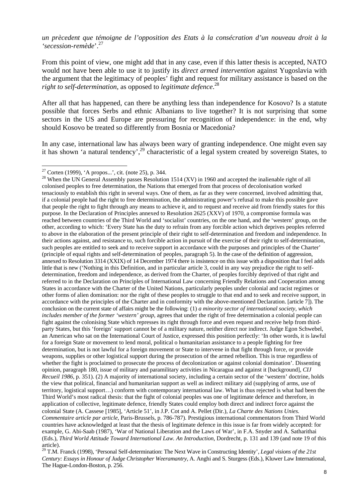*un prècedent que témoigne de l'opposition des Etats à la consécration d'un nouveau droit à la 'secession-remède*'.27

From this point of view, one might add that in any case, even if this latter thesis is accepted, NATO would not have been able to use it to justify its *direct armed intervention* against Yugoslavia with the argument that the legitimacy of peoples' fight and request for military assistance is based on the *right to self-determination,* as opposed to *legitimate defence*. 28

After all that has happened, can there be anything less than independence for Kosovo? Is a statute possible that forces Serbs and ethnic Albanians to live together? It is not surprising that some sectors in the US and Europe are pressuring for recognition of independence: in the end, why should Kosovo be treated so differently from Bosnia or Macedonia?

In any case, international law has always been wary of granting independence. One might even say it has shown 'a natural tendency',<sup>29</sup> characteristic of a legal system created by sovereign States, to

 $\overline{a}$ 

<sup>28</sup> When the UN General Assembly passes Resolution 1514 (XV) in 1960 and accepted the inalienable right of all colonised peoples to free determination, the Nations that emerged from that process of decolonisation worked tenaciously to establish this right in several ways. One of them, as far as they were concerned, involved admitting that, if a colonial people had the right to free determination, the administrating power's refusal to make this possible gave that people the right to fight through any means to achieve it, and to request and receive aid from friendly states for this purpose. In the Declaration of Principles annexed to Resolution 2625 (XXV) of 1970, a compromise formula was reached between countries of the Third World and 'socialist' countries, on the one hand, and the 'western' group, on the other, according to which: 'Every State has the duty to refrain from any forcible action which deprives peoples referred to above in the elaboration of the present principle of their right to self-determination and freedom and independence. In their actions against, and resistance to, such forcible action in pursuit of the exercise of their right to self-determination, such peoples are entitled to seek and to receive support in accordance with the purposes and principles of the Charter' (principle of equal rights and self-determination of peoples, paragraph 5). In the case of the definition of aggression, annexed to Resolution 3314 (XXIX) of 14 December 1974 there is insistence on this issue with a disposition that I feel adds little that is new ('Nothing in this Definition, and in particular article 3, could in any way prejudice the right to selfdetermination, freedom and independence, as derived from the Charter, of peoples forcibly deprived of that right and referred to in the Declaration on Principles of International Law concerning Friendly Relations and Cooperation among States in accordance with the Charter of the United Nations, particularly peoples under colonial and racist regimes or other forms of alien domination: nor the right of these peoples to struggle to that end and to seek and receive support, in accordance with the principles of the Charter and in conformity with the above-mentioned Declaration. [article 7]). The conclusion on the current state of affairs might be the following: (1) *a minority sector of international society, which includes member of the former 'western' group,* agrees that under the right of free determination a colonial people can fight against the colonising State which represses its right through force and even request and receive help from thirdparty States, but this 'foreign' support cannot be of a military nature, neither direct nor indirect. Judge Egon Schwebel, an American who sat on the International Court of Justice, expressed this position perfectly: 'In other words, it is lawful for a foreign State or movement to lend moral, political o humanitarian assistance to a people fighting for free determination, but is not lawful for a foreign movement or State to intervene in that fight through force, or provide weapons, supplies or other logistical support during the prosecution of the armed rebellion. This is true regardless of whether the fight is proclaimed to prosecute the process of decolonization or against colonial domination'. Dissenting opinion, paragraph 180, issue of military and paramilitary activities in Nicaragua and against it [background], *CIJ Recueil 1986*, p. 351). (2) A majority of international society, including a certain sector of the 'western' doctrine, holds the view that political, financial and humanitarian support as well as indirect military aid (supplying of arms, use of territory, logistical support…) conform with contemporary international law. What is thus rejected is what had been the Third World's most radical thesis: that the fight of colonial peoples was one of legitimate defence and therefore, in application of collective, legitimate defence, friendly States could employ both direct and indirect force against the colonial State (A. Cassese [1985], 'Article 51', in J.P. Cot and A. Pellet (Dir.), *La Charte des Nations Unies. Commentaire article par article*, Paris-Brussels, p. 786-787). Prestigious international commentators from Third World countries have acknowledged at least that the thesis of legitimate defence in this issue is far from widely accepted: for example, G. Abi-Saab (1987), 'War of National Liberation and the Laws of War', in F.A. Snyder and A. Satharithai (Eds.), *Third World Attitude Toward International Law. An Introduction*, Dordrecht, p. 131 and 139 (and note 19 of this article).

29 T.M. Franck (1998), 'Personal Self-determination: The Next Wave in Constructing Identity', *Legal visions of the 21st Century: Essays in Honour of Judge Christopher Weeramantry*, A. Anghi and S. Sturgess (Eds.), Kluwer Law International, The Hague-London-Boston, p. 256.

<sup>&</sup>lt;sup>27</sup> Corten (1999), 'A propos...', cit. (note 25), p. 344.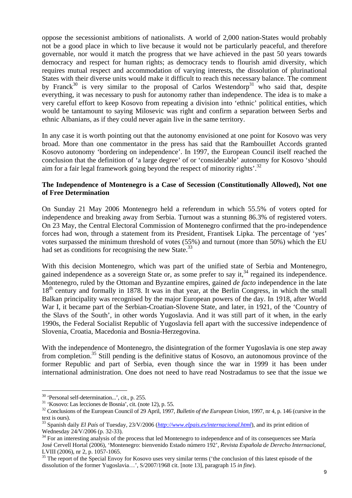oppose the secessionist ambitions of nationalists. A world of 2,000 nation-States would probably not be a good place in which to live because it would not be particularly peaceful, and therefore governable, nor would it match the progress that we have achieved in the past 50 years towards democracy and respect for human rights; as democracy tends to flourish amid diversity, which requires mutual respect and accommodation of varying interests, the dissolution of plurinational States with their diverse units would make it difficult to reach this necessary balance. The comment by Franck<sup>30</sup> is very similar to the proposal of Carlos Westendorp<sup>31</sup> who said that, despite everything, it was necessary to push for autonomy rather than independence. The idea is to make a very careful effort to keep Kosovo from repeating a division into 'ethnic' political entities, which would be tantamount to saying Milosevic was right and confirm a separation between Serbs and ethnic Albanians, as if they could never again live in the same territory.

In any case it is worth pointing out that the autonomy envisioned at one point for Kosovo was very broad. More than one commentator in the press has said that the Rambouillet Accords granted Kosovo autonomy 'bordering on independence'. In 1997, the European Council itself reached the conclusion that the definition of 'a large degree' of or 'considerable' autonomy for Kosovo 'should aim for a fair legal framework going beyond the respect of minority rights<sup> $32$ </sup>.

## **The Independence of Montenegro is a Case of Secession (Constitutionally Allowed), Not one of Free Determination**

On Sunday 21 May 2006 Montenegro held a referendum in which 55.5% of voters opted for independence and breaking away from Serbia. Turnout was a stunning 86.3% of registered voters. On 23 May, the Central Electoral Commission of Montenegro confirmed that the pro-independence forces had won, through a statement from its President, Frantisek Lipka. The percentage of 'yes' votes surpassed the minimum threshold of votes (55%) and turnout (more than 50%) which the EU had set as conditions for recognising the new State.<sup>33</sup>

With this decision Montenegro, which was part of the unified state of Serbia and Montenegro, gained independence as a sovereign State or, as some prefer to say it,  $34$  regained its independence. Montenegro, ruled by the Ottoman and Byzantine empires, gained *de facto* independence in the late 18<sup>th</sup> century and formally in 1878. It was in that year, at the Berlin Congress, in which the small Balkan principality was recognised by the major European powers of the day. In 1918, after World War I, it became part of the Serbian-Croatian-Slovene State, and later, in 1921, of the 'Country of the Slavs of the South', in other words Yugoslavia. And it was still part of it when, in the early 1990s, the Federal Socialist Republic of Yugoslavia fell apart with the successive independence of Slovenia, Croatia, Macedonia and Bosnia-Herzegovina.

With the independence of Montenegro, the disintegration of the former Yugoslavia is one step away from completion.<sup>35</sup> Still pending is the definitive status of Kosovo, an autonomous province of the former Republic and part of Serbia, even though since the war in 1999 it has been under international administration. One does not need to have read Nostradamus to see that the issue we

<sup>30 &#</sup>x27;Personal self-determination...', cit., p. 255.

<sup>31 &#</sup>x27;Kosovo: Las lecciones de Bosnia', cit. (note 12), p. 55.

<sup>32</sup> Conclusions of the European Council of 29 April, 1997, *Bulletin of the European Union,* 1997, nr 4, p. 146 (cursive in the text is ours).

<sup>33</sup> Spanish daily *El País* of Tuesday, 23/V/2006 (*http://www.elpais.es/internacional.html*), and its print edition of Wednesday 24/V/2006 (p. 32-33).

<sup>&</sup>lt;sup>34</sup> For an interesting analysis of the process that led Montenegro to independence and of its consequences see María José Cervell Hortal (2006), 'Montenegro: bienvenido Estado número 192', *Revista Española de Derecho Internacional*, LVIII (2006), nr 2, p. 1057-1065.

<sup>&</sup>lt;sup>35</sup> The report of the Special Envoy for Kosovo uses very similar terms ('the conclusion of this latest episode of the dissolution of the former Yugoslavia…', S/2007/1968 cit. [note 13], paragraph 15 *in fine*).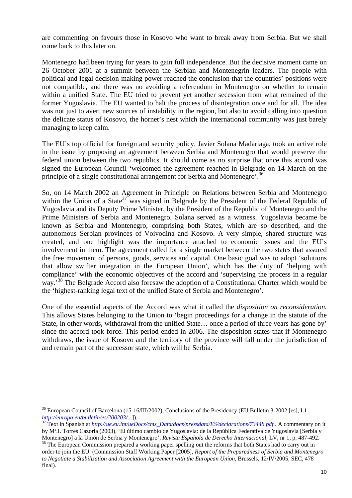are commenting on favours those in Kosovo who want to break away from Serbia. But we shall come back to this later on.

Montenegro had been trying for years to gain full independence. But the decisive moment came on 26 October 2001 at a summit between the Serbian and Montenegrin leaders. The people with political and legal decision-making power reached the conclusion that the countries' positions were not compatible, and there was no avoiding a referendum in Montenegro on whether to remain within a unified State. The EU tried to prevent yet another secession from what remained of the former Yugoslavia. The EU wanted to halt the process of disintegration once and for all. The idea was not just to avert new sources of instability in the region, but also to avoid calling into question the delicate status of Kosovo, the hornet's nest which the international community was just barely managing to keep calm.

The EU's top official for foreign and security policy, Javier Solana Madariaga, took an active role in the issue by proposing an agreement between Serbia and Montenegro that would preserve the federal union between the two republics. It should come as no surprise that once this accord was signed the European Council 'welcomed the agreement reached in Belgrade on 14 March on the principle of a single constitutional arrangement for Serbia and Montenegro'.<sup>36</sup>

So, on 14 March 2002 an Agreement in Principle on Relations between Serbia and Montenegro within the Union of a State<sup>37</sup> was signed in Belgrade by the President of the Federal Republic of Yugoslavia and its Deputy Prime Minister, by the President of the Republic of Montenegro and the Prime Ministers of Serbia and Montenegro. Solana served as a witness. Yugoslavia became be known as Serbia and Montenegro, comprising both States, which are so described, and the autonomous Serbian provinces of Voivodina and Kosovo. A very simple, shared structure was created, and one highlight was the importance attached to economic issues and the EU's involvement in them. The agreement called for a single market between the two states that assured the free movement of persons, goods, services and capital. One basic goal was to adopt 'solutions that allow swifter integration in the European Union', which has the duty of 'helping with compliance' with the economic objectives of the accord and 'supervising the process in a regular way.<sup>38</sup> The Belgrade Accord also foresaw the adoption of a Constitutional Charter which would be the 'highest-ranking legal text of the unified State of Serbia and Montenegro'.

One of the essential aspects of the Accord was what it called the *disposition on reconsideration.* This allows States belonging to the Union to 'begin proceedings for a change in the statute of the State, in other words, withdrawal from the unified State… once a period of three years has gone by' since the accord took force. This period ended in 2006. The disposition states that if Montenegro withdraws, the issue of Kosovo and the territory of the province will fall under the jurisdiction of and remain part of the successor state, which will be Serbia.

 $\overline{a}$ <sup>36</sup> European Council of Barcelona (15-16/III/2002), Conclusions of the Presidency (EU Bulletin 3-2002 [es], I.1 *http://europa.eu/bulletin/es/200203/*...]). 37 Text in Spanish at *http://ue.eu.int/ueDocs/cms\_Data/docs/pressdata/ES/declarations/73448.pdf* . A commentary on it

by Mª.I. Torres Cazorla (2003), 'El último cambio de Yugoslavia: de la República Federativa de Yugoslavia [Serbia y

Montenegro] a la Unión de Serbia y Montenegro', Revista Española de Derecho Internacional, LV, nr 1, p. 487-492.<br><sup>38</sup> The European Commission prepared a working paper spelling out the reforms that both States had to carry order to join the EU. (Commission Staff Working Paper [2005], *Report of the Preparedness of Serbia and Montenegro to Negotiate a Stabilization and Association Agreement with the European Union*, Brussels, 12/IV/2005, SEC, 478 final).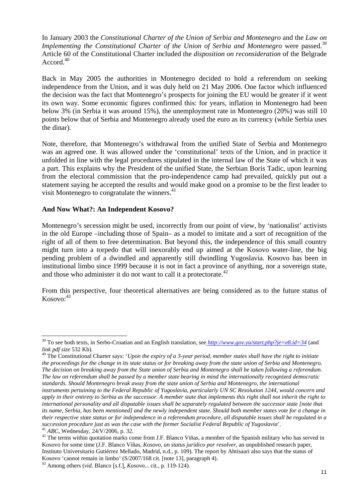In January 2003 the *Constitutional Charter of the Union of Serbia and Montenegro* and the *Law on Implementing the Constitutional Charter of the Union of Serbia and Montenegro were passed.*<sup>39</sup> Article 60 of the Constitutional Charter included the *disposition on reconsideration* of the Belgrade Accord.<sup>40</sup>

Back in May 2005 the authorities in Montenegro decided to hold a referendum on seeking independence from the Union, and it was duly held on 21 May 2006. One factor which influenced the decision was the fact that Montenegro's prospects for joining the EU would be greater if it went its own way. Some economic figures confirmed this: for years, inflation in Montenegro had been below 3% (in Serbia it was around 15%), the unemployment rate in Montenegro (20%) was still 10 points below that of Serbia and Montenegro already used the euro as its currency (while Serbia uses the dinar).

Note, therefore, that Montenegro's withdrawal from the unified State of Serbia and Montenegro was an agreed one. It was allowed under the 'constitutional' texts of the Union, and in practice it unfolded in line with the legal procedures stipulated in the internal law of the State of which it was a part. This explains why the President of the unified State, the Serbian Boris Tadic, upon learning from the electoral commission that the pro-independence camp had prevailed, quickly put out a statement saying he accepted the results and would make good on a promise to be the first leader to visit Montenegro to congratulate the winners.<sup>41</sup>

#### **And Now What?: An Independent Kosovo?**

 $\overline{a}$ 

Montenegro's secession might be used, incorrectly from our point of view, by 'nationalist' activists in the old Europe –including those of Spain– as a model to imitate and a sort of recognition of the right of all of them to free determination. But beyond this, the independence of this small country might turn into a torpedo that will inexorably end up aimed at the Kosovo water-line, the big pending problem of a dwindled and apparently still dwindling Yugoslavia. Kosovo has been in institutional limbo since 1999 because it is not in fact a province of anything, nor a sovereign state, and those who administer it do not want to call it a protectorate. $42$ 

From this perspective, four theoretical alternatives are being considered as to the future status of  $Kosovo: <sup>43</sup>$ 

*the proceedings for the change in its state status or for breaking away from the state union of Serbia and Montenegro. The decision on breaking away from the State union of Serbia and Montenegro shall be taken following a referendum. The law on referendum shall be passed by a member state bearing in mind the internationally recognized democratic standards. Should Montenegro break away from the state union of Serbia and Montenegro, the international* 

<sup>39</sup> To see both texts, in Serbo-Croatian and an English translation, see *http://www.gov.yu/start.php?je=e8.id=34* (and *link pdf size* 532 Kb).<br><sup>40</sup> The Constitutional Charter says: *'Upon the expiry of a 3-year period, member states shall have the right to initiate* 

*instruments pertaining to the Federal Republic of Yugoslavia, particularly UN SC Resolution 1244, would concern and apply in their entirety to Serbia as the successor. A member state that implements this right shall not inherit the right to international personality and all disputable issues shall be separately regulated between the successor state [note that its name, Serbia, has been mentioned] and the newly independent state. Should both member states vote for a change in their respective state status or for independence in a referendum procedure, all disputable issues shall be regulated in a* 

<sup>&</sup>lt;sup>41</sup> *ABC*, Wednesday,  $24/\frac{V}{2006}$ , p. 32.<br><sup>42</sup> The terms within quotation marks come from J.F. Blanco Viñas, a member of the Spanish military who has served in Kosovo for some time (J.F. Blanco Viñas, *Kosovo, un status jurídico por resolver*, an unpublished research paper, Instituto Universitario Gutiérrez Mellado, Madrid, n.d., p. 109). The report by Ahtisaari also says that the status of Kosovo 'cannot remain in limbo' (S/2007/168 cit. [note 13], paragraph 4).

<sup>43</sup> Among others (*vid*. Blanco [s.f.], *Kosovo*... cit., p. 119-124).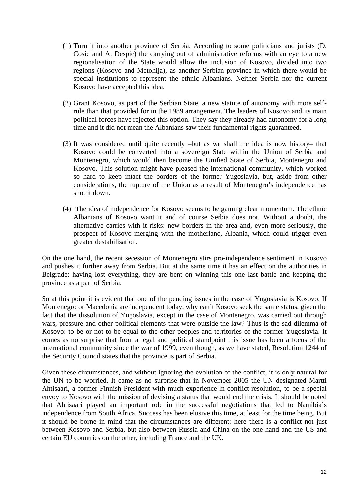- (1) Turn it into another province of Serbia. According to some politicians and jurists (D. Cosic and A. Despic) the carrying out of administrative reforms with an eye to a new regionalisation of the State would allow the inclusion of Kosovo, divided into two regions (Kosovo and Metohija), as another Serbian province in which there would be special institutions to represent the ethnic Albanians. Neither Serbia nor the current Kosovo have accepted this idea.
- (2) Grant Kosovo, as part of the Serbian State, a new statute of autonomy with more selfrule than that provided for in the 1989 arrangement. The leaders of Kosovo and its main political forces have rejected this option. They say they already had autonomy for a long time and it did not mean the Albanians saw their fundamental rights guaranteed.
- (3) It was considered until quite recently –but as we shall the idea is now history– that Kosovo could be converted into a sovereign State within the Union of Serbia and Montenegro, which would then become the Unified State of Serbia, Montenegro and Kosovo. This solution might have pleased the international community, which worked so hard to keep intact the borders of the former Yugoslavia, but, aside from other considerations, the rupture of the Union as a result of Montenegro's independence has shot it down.
- (4) The idea of independence for Kosovo seems to be gaining clear momentum. The ethnic Albanians of Kosovo want it and of course Serbia does not. Without a doubt, the alternative carries with it risks: new borders in the area and, even more seriously, the prospect of Kosovo merging with the motherland, Albania, which could trigger even greater destabilisation.

On the one hand, the recent secession of Montenegro stirs pro-independence sentiment in Kosovo and pushes it further away from Serbia. But at the same time it has an effect on the authorities in Belgrade: having lost everything, they are bent on winning this one last battle and keeping the province as a part of Serbia.

So at this point it is evident that one of the pending issues in the case of Yugoslavia is Kosovo. If Montenegro or Macedonia are independent today, why can't Kosovo seek the same status, given the fact that the dissolution of Yugoslavia, except in the case of Montenegro, was carried out through wars, pressure and other political elements that were outside the law? Thus is the sad dilemma of Kosovo: to be or not to be equal to the other peoples and territories of the former Yugoslavia. It comes as no surprise that from a legal and political standpoint this issue has been a focus of the international community since the war of 1999, even though, as we have stated, Resolution 1244 of the Security Council states that the province is part of Serbia.

Given these circumstances, and without ignoring the evolution of the conflict, it is only natural for the UN to be worried. It came as no surprise that in November 2005 the UN designated Martti Ahtisaari, a former Finnish President with much experience in conflict-resolution, to be a special envoy to Kosovo with the mission of devising a status that would end the crisis. It should be noted that Ahtisaari played an important role in the successful negotiations that led to Namibia's independence from South Africa. Success has been elusive this time, at least for the time being. But it should be borne in mind that the circumstances are different: here there is a conflict not just between Kosovo and Serbia, but also between Russia and China on the one hand and the US and certain EU countries on the other, including France and the UK.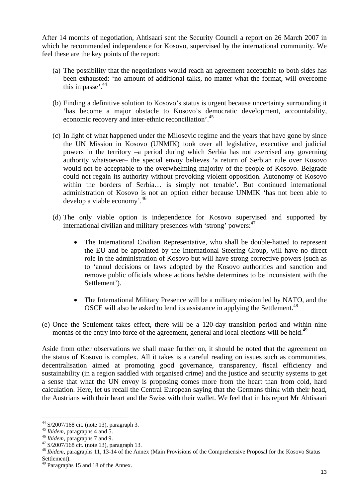After 14 months of negotiation, Ahtisaari sent the Security Council a report on 26 March 2007 in which he recommended independence for Kosovo, supervised by the international community. We feel these are the key points of the report:

- (a) The possibility that the negotiations would reach an agreement acceptable to both sides has been exhausted: 'no amount of additional talks, no matter what the format, will overcome this impasse<sup>'.44</sup>
- (b) Finding a definitive solution to Kosovo's status is urgent because uncertainty surrounding it 'has become a major obstacle to Kosovo's democratic development, accountability, economic recovery and inter-ethnic reconciliation<sup>'.45</sup>
- (c) In light of what happened under the Milosevic regime and the years that have gone by since the UN Mission in Kosovo (UNMIK) took over all legislative, executive and judicial powers in the territory –a period during which Serbia has not exercised any governing authority whatsoever– the special envoy believes 'a return of Serbian rule over Kosovo would not be acceptable to the overwhelming majority of the people of Kosovo. Belgrade could not regain its authority without provoking violent opposition. Autonomy of Kosovo within the borders of Serbia… is simply not tenable'. But continued international administration of Kosovo is not an option either because UNMIK 'has not been able to develop a viable economy'.<sup>46</sup>
- (d) The only viable option is independence for Kosovo supervised and supported by international civilian and military presences with 'strong' powers:<sup>47</sup>
	- The International Civilian Representative, who shall be double-hatted to represent the EU and be appointed by the International Steering Group, will have no direct role in the administration of Kosovo but will have strong corrective powers (such as to 'annul decisions or laws adopted by the Kosovo authorities and sanction and remove public officials whose actions he/she determines to be inconsistent with the Settlement').
	- The International Military Presence will be a military mission led by NATO, and the OSCE will also be asked to lend its assistance in applying the Settlement.<sup>48</sup>
- (e) Once the Settlement takes effect, there will be a 120-day transition period and within nine months of the entry into force of the agreement, general and local elections will be held.<sup>49</sup>

Aside from other observations we shall make further on, it should be noted that the agreement on the status of Kosovo is complex. All it takes is a careful reading on issues such as communities, decentralisation aimed at promoting good governance, transparency, fiscal efficiency and sustainability (in a region saddled with organised crime) and the justice and security systems to get a sense that what the UN envoy is proposing comes more from the heart than from cold, hard calculation. Here, let us recall the Central European saying that the Germans think with their head, the Austrians with their heart and the Swiss with their wallet. We feel that in his report Mr Ahtisaari

 $\overline{a}$  $44$  S/2007/168 cit. (note 13), paragraph 3.

<sup>&</sup>lt;sup>45</sup> *Ibidem*, paragraphs 4 and 5.<br><sup>46</sup> *Ibidem*, paragraphs 7 and 9.<br><sup>47</sup> S/2007/168 cit. (note 13), paragraph 13.

<sup>48</sup> *Ibidem*, paragraphs 11, 13-14 of the Annex (Main Provisions of the Comprehensive Proposal for the Kosovo Status Settlement).

<sup>&</sup>lt;sup>49</sup> Paragraphs 15 and 18 of the Annex.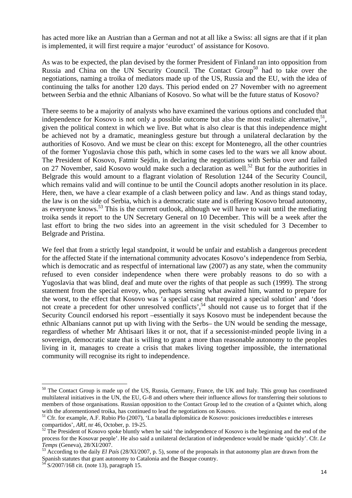has acted more like an Austrian than a German and not at all like a Swiss: all signs are that if it plan is implemented, it will first require a major 'euroduct' of assistance for Kosovo.

As was to be expected, the plan devised by the former President of Finland ran into opposition from Russia and China on the UN Security Council. The Contact Group<sup>50</sup> had to take over the negotiations, naming a troika of mediators made up of the US, Russia and the EU, with the idea of continuing the talks for another 120 days. This period ended on 27 November with no agreement between Serbia and the ethnic Albanians of Kosovo. So what will be the future status of Kosovo?

There seems to be a majority of analysts who have examined the various options and concluded that independence for Kosovo is not only a possible outcome but also the most realistic alternative,  $51$ , given the political context in which we live. But what is also clear is that this independence might be achieved not by a dramatic, meaningless gesture but through a unilateral declaration by the authorities of Kosovo. And we must be clear on this: except for Montenegro, all the other countries of the former Yugoslavia chose this path, which in some cases led to the wars we all know about. The President of Kosovo, Fatmir Sejdin, in declaring the negotiations with Serbia over and failed on 27 November, said Kosovo would make such a declaration as well.<sup>52</sup> But for the authorities in Belgrade this would amount to a flagrant violation of Resolution 1244 of the Security Council, which remains valid and will continue to be until the Council adopts another resolution in its place. Here, then, we have a clear example of a clash between policy and law. And as things stand today, the law is on the side of Serbia, which is a democratic state and is offering Kosovo broad autonomy, as everyone knows.<sup>53</sup> This is the current outlook, although we will have to wait until the mediating troika sends it report to the UN Secretary General on 10 December. This will be a week after the last effort to bring the two sides into an agreement in the visit scheduled for 3 December to Belgrade and Pristina.

We feel that from a strictly legal standpoint, it would be unfair and establish a dangerous precedent for the affected State if the international community advocates Kosovo's independence from Serbia, which is democratic and as respectful of international law (2007) as any state, when the community refused to even consider independence when there were probably reasons to do so with a Yugoslavia that was blind, deaf and mute over the rights of that people as such (1999). The strong statement from the special envoy, who, perhaps sensing what awaited him, wanted to prepare for the worst, to the effect that Kosovo was 'a special case that required a special solution' and 'does not create a precedent for other unresolved conflicts',<sup>54</sup> should not cause us to forget that if the Security Council endorsed his report –essentially it says Kosovo must be independent because the ethnic Albanians cannot put up with living with the Serbs– the UN would be sending the message, regardless of whether Mr Ahtisaari likes it or not, that if a secessionist-minded people living in a sovereign, democratic state that is willing to grant a more than reasonable autonomy to the peoples living in it, manages to create a crisis that makes living together impossible, the international community will recognise its right to independence.

<sup>&</sup>lt;sup>50</sup> The Contact Group is made up of the US, Russia, Germany, France, the UK and Italy. This group has coordinated multilateral initiatives in the UN, the EU, G-8 and others where their influence allows for transferring their solutions to members of those organisations. Russian opposition to the Contact Group led to the creation of a Quintet which, along with the aforementioned troika, has continued to lead the negotiations on Kosovo.

<sup>&</sup>lt;sup>51</sup> Cfr. for example, A.F. Rubio Plo (2007), 'La batalla diplomática de Kosovo: posiciones irreductibles e intereses compartidos', ARI, nr 46, October, p. 19-25.

<sup>&</sup>lt;sup>52</sup> The President of Kosovo spoke bluntly when he said 'the independence of Kosovo is the beginning and the end of the process for the Kosovar people'. He also said a unilateral declaration of independence would be made 'quickly'. Cfr. *Le* 

*Temps* (Geneva), 28/XI/2007.<br><sup>53</sup> According to the daily *El País* (28/XI/2007, p. 5), some of the proposals in that autonomy plan are drawn from the Spanish statutes that grant autonomy to Catalonia and the Basque country.

<sup>54</sup> S/2007/168 cit. (note 13), paragraph 15.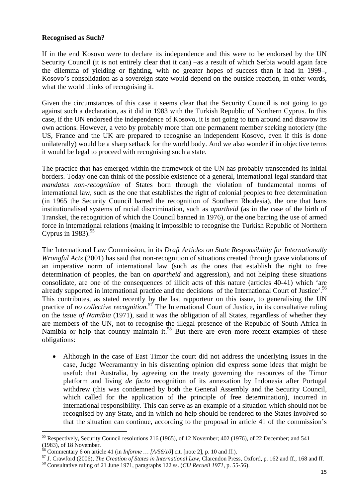## **Recognised as Such?**

If in the end Kosovo were to declare its independence and this were to be endorsed by the UN Security Council (it is not entirely clear that it can) –as a result of which Serbia would again face the dilemma of yielding or fighting, with no greater hopes of success than it had in 1999–, Kosovo's consolidation as a sovereign state would depend on the outside reaction, in other words, what the world thinks of recognising it.

Given the circumstances of this case it seems clear that the Security Council is not going to go against such a declaration, as it did in 1983 with the Turkish Republic of Northern Cyprus. In this case, if the UN endorsed the independence of Kosovo, it is not going to turn around and disavow its own actions. However, a veto by probably more than one permanent member seeking notoriety (the US, France and the UK are prepared to recognise an independent Kosovo, even if this is done unilaterally) would be a sharp setback for the world body. And we also wonder if in objective terms it would be legal to proceed with recognising such a state.

The practice that has emerged within the framework of the UN has probably transcended its initial borders. Today one can think of the possible existence of a general, international legal standard that *mandates non-recognition* of States born through the violation of fundamental norms of international law, such as the one that establishes the right of colonial peoples to free determination (in 1965 the Security Council barred the recognition of Southern Rhodesia), the one that bans institutionalised systems of racial discrimination, such as *apartheid* (as in the case of the birth of Transkei, the recognition of which the Council banned in 1976), or the one barring the use of armed force in international relations (making it impossible to recognise the Turkish Republic of Northern Cyprus in  $1983$ ).<sup>55</sup>

The International Law Commission, in its *Draft Articles on State Responsibility for Internationally Wrongful Acts* (2001) has said that non-recognition of situations created through grave violations of an imperative norm of international law (such as the ones that establish the right to free determination of peoples, the ban on *apartheid* and aggression), and not helping these situations consolidate, are one of the consequences of illicit acts of this nature (articles 40-41) which 'are already supported in international practice and the decisions of the International Court of Justice'.<sup>56</sup> This contributes, as stated recently by the last rapporteur on this issue, to generalising the UN practice of *no collective recognition*.<sup>57</sup> The International Court of Justice, in its consultative ruling on the *issue of Namibia* (1971), said it was the obligation of all States, regardless of whether they are members of the UN, not to recognise the illegal presence of the Republic of South Africa in Namibia or help that country maintain it.<sup>58</sup> But there are even more recent examples of these obligations:

• Although in the case of East Timor the court did not address the underlying issues in the case, Judge Weeramantry in his dissenting opinion did express some ideas that might be useful: that Australia, by agreeing on the treaty governing the resources of the Timor platform and living *de facto* recognition of its annexation by Indonesia after Portugal withdrew (this was condemned by both the General Assembly and the Security Council, which called for the application of the principle of free determination), incurred in international responsibility. This can serve as an example of a situation which should not be recognised by any State, and in which no help should be rendered to the States involved so that the situation can continue, according to the proposal in article 41 of the commission's

<sup>&</sup>lt;sup>55</sup> Respectively, Security Council resolutions 216 (1965), of 12 November; 402 (1976), of 22 December; and 541 (1983), of 18 November.<br>
<sup>56</sup> Commentary 6 on article 41 (in *Informe ...*  $[A/56/10]$  cit. [note 2], p. 10 and ff.).

<sup>&</sup>lt;sup>57</sup> J. Crawford (2006), *The Creation of States in International Law*, Clarendon Press, Oxford, p. 162 and ff., 168 and ff. <sup>58</sup> Consultative ruling of 21 June 1971, paragraphs 122 ss. (*CIJ Recueil 1971*, p. 55-56).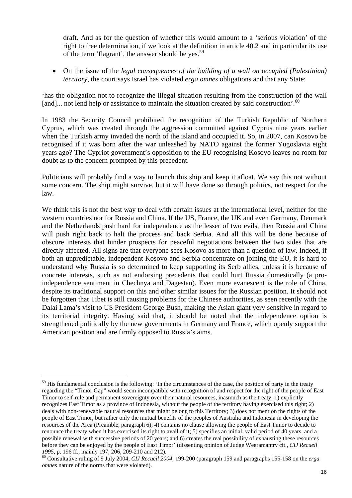draft. And as for the question of whether this would amount to a 'serious violation' of the right to free determination, if we look at the definition in article 40.2 and in particular its use of the term 'flagrant', the answer should be yes.<sup>59</sup>

• On the issue of the *legal consequences of the building of a wall on occupied (Palestinian) territory*, the court says Israel has violated *erga omnes* obligations and that any State:

'has the obligation not to recognize the illegal situation resulting from the construction of the wall [and]... not lend help or assistance to maintain the situation created by said construction'.<sup>60</sup>

In 1983 the Security Council prohibited the recognition of the Turkish Republic of Northern Cyprus, which was created through the aggression committed against Cyprus nine years earlier when the Turkish army invaded the north of the island and occupied it. So, in 2007, can Kosovo be recognised if it was born after the war unleashed by NATO against the former Yugoslavia eight years ago? The Cypriot government's opposition to the EU recognising Kosovo leaves no room for doubt as to the concern prompted by this precedent.

Politicians will probably find a way to launch this ship and keep it afloat. We say this not without some concern. The ship might survive, but it will have done so through politics, not respect for the law.

We think this is not the best way to deal with certain issues at the international level, neither for the western countries nor for Russia and China. If the US, France, the UK and even Germany, Denmark and the Netherlands push hard for independence as the lesser of two evils, then Russia and China will push right back to halt the process and back Serbia. And all this will be done because of obscure interests that hinder prospects for peaceful negotiations between the two sides that are directly affected. All signs are that everyone sees Kosovo as more than a question of law. Indeed, if both an unpredictable, independent Kosovo and Serbia concentrate on joining the EU, it is hard to understand why Russia is so determined to keep supporting its Serb allies, unless it is because of concrete interests, such as not endorsing precedents that could hurt Russia domestically (a proindependence sentiment in Chechnya and Dagestan). Even more evanescent is the role of China, despite its traditional support on this and other similar issues for the Russian position. It should not be forgotten that Tibet is still causing problems for the Chinese authorities, as seen recently with the Dalai Lama's visit to US President George Bush, making the Asian giant very sensitive in regard to its territorial integrity. Having said that, it should be noted that the independence option is strengthened politically by the new governments in Germany and France, which openly support the American position and are firmly opposed to Russia's aims.

 $\overline{a}$  $<sup>59</sup>$  His fundamental conclusion is the following: 'In the circumstances of the case, the position of party in the treaty</sup> regarding the "Timor Gap" would seem incompatible with recognition of and respect for the right of the people of East Timor to self-rule and permanent sovereignty over their natural resources, inasmuch as the treaty: 1) explicitly recognizes East Timor as a province of Indonesia, without the people of the territory having exercised this right; 2) deals with non-renewable natural resources that might belong to this Territory; 3) does not mention the rights of the people of East Timor, but rather only the mutual benefits of the peoples of Australia and Indonesia in developing the resources of the Area (Preamble, paragraph 6); 4) contains no clause allowing the people of East Timor to decide to renounce the treaty when it has exercised its right to avail of it; 5) specifies an initial, valid period of 40 years, and a possible renewal with successive periods of 20 years; and 6) creates the real possibility of exhausting these resources before they can be enjoyed by the people of East Timor' (dissenting opinion of Judge Weeramantry cit., *CIJ Recueil <sup>1995</sup>*, p. 196 ff., mainly 197, 206, 209-210 and 212). 60 Consultative ruling of 9 July 2004, *CIJ Recueil 2004*, 199-200 (paragraph 159 and paragraphs 155-158 on the *erga* 

*omnes* nature of the norms that were violated).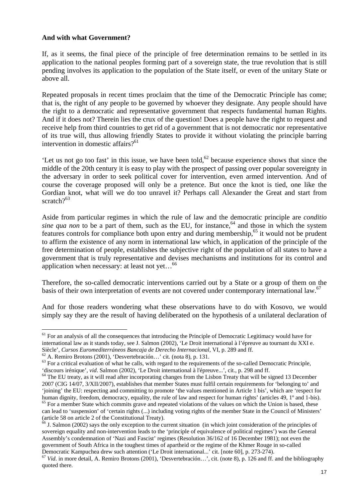#### **And with what Government?**

If, as it seems, the final piece of the principle of free determination remains to be settled in its application to the national peoples forming part of a sovereign state, the true revolution that is still pending involves its application to the population of the State itself, or even of the unitary State or above all.

Repeated proposals in recent times proclaim that the time of the Democratic Principle has come; that is, the right of any people to be governed by whoever they designate. Any people should have the right to a democratic and representative government that respects fundamental human Rights. And if it does not? Therein lies the crux of the question! Does a people have the right to request and receive help from third countries to get rid of a government that is not democratic nor representative of its true will, thus allowing friendly States to provide it without violating the principle barring intervention in domestic affairs? $61$ 

'Let us not go too fast' in this issue, we have been told,  $62$  because experience shows that since the middle of the 20th century it is easy to play with the prospect of passing over popular sovereignty in the adversary in order to seek political cover for intervention, even armed intervention. And of course the coverage proposed will only be a pretence. But once the knot is tied, one like the Gordian knot, what will we do too unravel it? Perhaps call Alexander the Great and start from scratch $2^{63}$ 

Aside from particular regimes in which the rule of law and the democratic principle are *conditio sine qua non* to be a part of them, such as the EU, for instance,  $64$  and those in which the system features controls for compliance both upon entry and during membership, $65$  it would not be prudent to affirm the existence of any norm in international law which, in application of the principle of the free determination of people, establishes the subjective right of the population of all states to have a government that is truly representative and devises mechanisms and institutions for its control and application when necessary: at least not vet...<sup>66</sup>

Therefore, the so-called democratic interventions carried out by a State or a group of them on the basis of their own interpretation of events are not covered under contemporary international law.<sup>67</sup>

And for those readers wondering what these observations have to do with Kosovo, we would simply say they are the result of having deliberated on the hypothesis of a unilateral declaration of

<sup>&</sup>lt;sup>61</sup> For an analysis of all the consequences that introducing the Principle of Democratic Legitimacy would have for international law as it stands today, see J. Salmon (2002), 'Le Droit international à l'épreuve au tournant du XXI e. Siècle', *Cursos Euromediterráneos Bancaja de Derecho Internacional*, VI, p. 289 and ff. <sup>62</sup> A. Remiro Brotons (2001), 'Desvertebración...' cit. (nota 8), p. 131.

 $63$  For a critical evaluation of what he calls, with regard to the requirements of the so-called Democratic Principle,

<sup>&#</sup>x27;discours irénique', vid. Salmon (2002), 'Le Droit international à l'épreuve...', cit., p. 298 and ff.<br><sup>64</sup> The EU treaty, as it will read after incorporating changes from the Lisbon Treaty that will be signed 13 December 2007 (CIG 14/07, 3/XII/2007), establishes that member States must fulfil certain requirements for 'belonging to' and 'joining' the EU: respecting and committing to promote 'the values mentioned in Article 1 bis', which are 'respect for human dignity, freedom, democracy, equality, the rule of law and respect for human rights' (articles 49, 1° and 1-bis).

<sup>&</sup>lt;sup>65</sup> For a member State which commits grave and repeated violations of the values on which the Union is based, these can lead to 'suspension' of 'certain rights (...) including voting rights of the member State in the Council of Ministers' (article 58 on article 2 of the Constitutional Treaty).

 $66$  J. Salmon (2002) says the only exception to the current situation (in which joint consideration of the principles of sovereign equality and non-intervention leads to the 'principle of equivalence of political regimes') was the General Assembly's condemnation of 'Nazi and Fascist' regimes (Resolution 36/162 of 16 December 1981); not even the government of South Africa in the toughest times of apartheid or the regime of the Khmer Rouge in so-called

Democratic Kampuchea drew such attention ('Le Droit international...' cit. [note 60], p. 273-274).<br><sup>67</sup> Vid. in more detail, A. Remiro Brotons (2001), 'Desvertebración...', cit. (note 8), p. 126 and ff. and the bibliograph quoted there.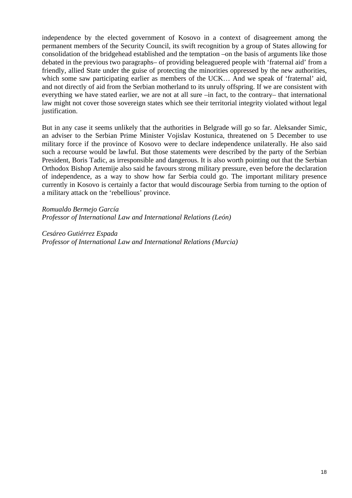independence by the elected government of Kosovo in a context of disagreement among the permanent members of the Security Council, its swift recognition by a group of States allowing for consolidation of the bridgehead established and the temptation –on the basis of arguments like those debated in the previous two paragraphs– of providing beleaguered people with 'fraternal aid' from a friendly, allied State under the guise of protecting the minorities oppressed by the new authorities, which some saw participating earlier as members of the UCK... And we speak of 'fraternal' aid, and not directly of aid from the Serbian motherland to its unruly offspring. If we are consistent with everything we have stated earlier, we are not at all sure –in fact, to the contrary– that international law might not cover those sovereign states which see their territorial integrity violated without legal justification.

But in any case it seems unlikely that the authorities in Belgrade will go so far. Aleksander Simic, an adviser to the Serbian Prime Minister Vojislav Kostunica, threatened on 5 December to use military force if the province of Kosovo were to declare independence unilaterally. He also said such a recourse would be lawful. But those statements were described by the party of the Serbian President, Boris Tadic, as irresponsible and dangerous. It is also worth pointing out that the Serbian Orthodox Bishop Artemije also said he favours strong military pressure, even before the declaration of independence, as a way to show how far Serbia could go. The important military presence currently in Kosovo is certainly a factor that would discourage Serbia from turning to the option of a military attack on the 'rebellious' province.

*Romualdo Bermejo García Professor of International Law and International Relations (León)* 

*Cesáreo Gutiérrez Espada Professor of International Law and International Relations (Murcia)*